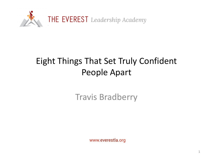

## Eight Things That Set Truly Confident People Apart

Travis Bradberry

www.everestla.org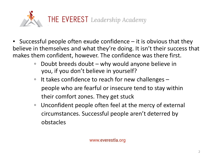

- **EXE** Successful people often exude confidence  $-$  it is obvious that they believe in themselves and what they're doing. It isn't their success that makes them confident, however. The confidence was there first.
	- Doubt breeds doubt why would anyone believe in you, if you don't believe in yourself?
	- It takes confidence to reach for new challenges people who are fearful or insecure tend to stay within their comfort zones. They get stuck
	- Unconfident people often feel at the mercy of external circumstances. Successful people aren't deterred by obstacles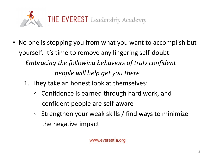

- No one is stopping you from what you want to accomplish but yourself. It's time to remove any lingering self-doubt. *Embracing the following behaviors of truly confident people will help get you there*
	- 1. They take an honest look at themselves:
		- Confidence is earned through hard work, and confident people are self-aware
		- Strengthen your weak skills / find ways to minimize the negative impact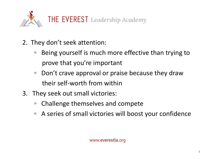

- 2. They don't seek attention:
	- Being yourself is much more effective than trying to prove that you're important
	- Don't crave approval or praise because they draw their self-worth from within
- 3. They seek out small victories:
	- Challenge themselves and compete
	- A series of small victories will boost your confidence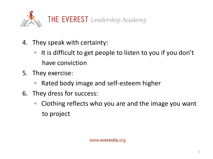

- 4. They speak with certainty:
	- It is difficult to get people to listen to you if you don't have conviction
- 5. They exercise:
	- Rated body image and self-esteem higher
- 6. They dress for success:
	- Clothing reflects who you are and the image you want to project